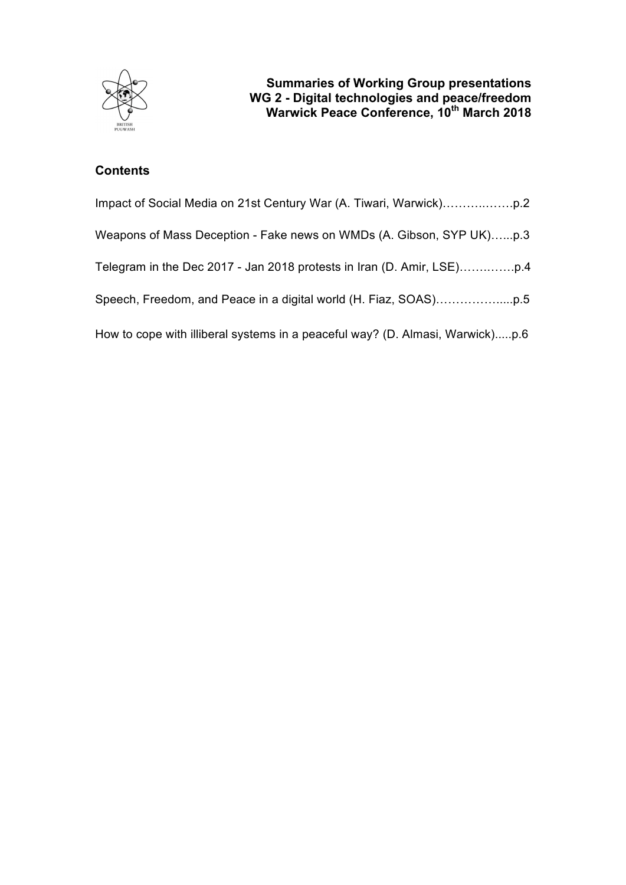

# **Contents**

| Weapons of Mass Deception - Fake news on WMDs (A. Gibson, SYP UK)p.3          |
|-------------------------------------------------------------------------------|
|                                                                               |
|                                                                               |
| How to cope with illiberal systems in a peaceful way? (D. Almasi, Warwick)p.6 |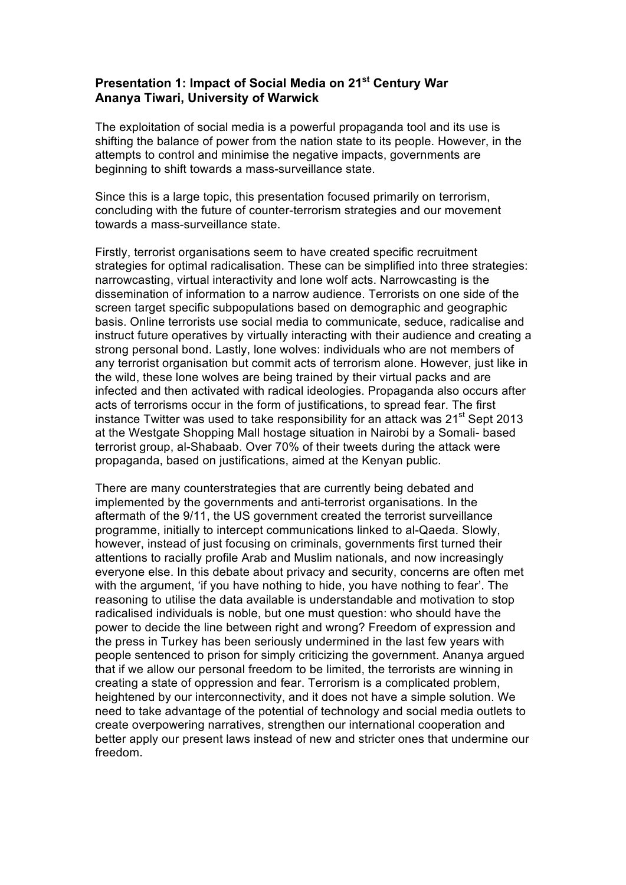### **Presentation 1: Impact of Social Media on 21st Century War Ananya Tiwari, University of Warwick**

The exploitation of social media is a powerful propaganda tool and its use is shifting the balance of power from the nation state to its people. However, in the attempts to control and minimise the negative impacts, governments are beginning to shift towards a mass-surveillance state.

Since this is a large topic, this presentation focused primarily on terrorism, concluding with the future of counter-terrorism strategies and our movement towards a mass-surveillance state.

Firstly, terrorist organisations seem to have created specific recruitment strategies for optimal radicalisation. These can be simplified into three strategies: narrowcasting, virtual interactivity and lone wolf acts. Narrowcasting is the dissemination of information to a narrow audience. Terrorists on one side of the screen target specific subpopulations based on demographic and geographic basis. Online terrorists use social media to communicate, seduce, radicalise and instruct future operatives by virtually interacting with their audience and creating a strong personal bond. Lastly, lone wolves: individuals who are not members of any terrorist organisation but commit acts of terrorism alone. However, just like in the wild, these lone wolves are being trained by their virtual packs and are infected and then activated with radical ideologies. Propaganda also occurs after acts of terrorisms occur in the form of justifications, to spread fear. The first instance Twitter was used to take responsibility for an attack was  $21<sup>st</sup>$  Sept 2013 at the Westgate Shopping Mall hostage situation in Nairobi by a Somali- based terrorist group, al-Shabaab. Over 70% of their tweets during the attack were propaganda, based on justifications, aimed at the Kenyan public.

There are many counterstrategies that are currently being debated and implemented by the governments and anti-terrorist organisations. In the aftermath of the 9/11, the US government created the terrorist surveillance programme, initially to intercept communications linked to al-Qaeda. Slowly, however, instead of just focusing on criminals, governments first turned their attentions to racially profile Arab and Muslim nationals, and now increasingly everyone else. In this debate about privacy and security, concerns are often met with the argument, 'if you have nothing to hide, you have nothing to fear'. The reasoning to utilise the data available is understandable and motivation to stop radicalised individuals is noble, but one must question: who should have the power to decide the line between right and wrong? Freedom of expression and the press in Turkey has been seriously undermined in the last few years with people sentenced to prison for simply criticizing the government. Ananya argued that if we allow our personal freedom to be limited, the terrorists are winning in creating a state of oppression and fear. Terrorism is a complicated problem, heightened by our interconnectivity, and it does not have a simple solution. We need to take advantage of the potential of technology and social media outlets to create overpowering narratives, strengthen our international cooperation and better apply our present laws instead of new and stricter ones that undermine our freedom.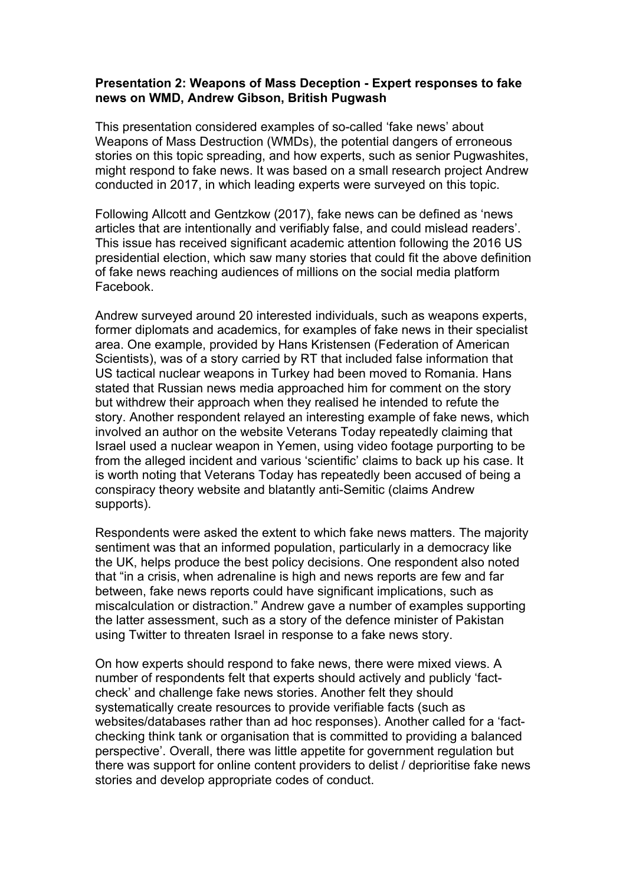#### **Presentation 2: Weapons of Mass Deception - Expert responses to fake news on WMD, Andrew Gibson, British Pugwash**

This presentation considered examples of so-called 'fake news' about Weapons of Mass Destruction (WMDs), the potential dangers of erroneous stories on this topic spreading, and how experts, such as senior Pugwashites, might respond to fake news. It was based on a small research project Andrew conducted in 2017, in which leading experts were surveyed on this topic.

Following Allcott and Gentzkow (2017), fake news can be defined as 'news articles that are intentionally and verifiably false, and could mislead readers'. This issue has received significant academic attention following the 2016 US presidential election, which saw many stories that could fit the above definition of fake news reaching audiences of millions on the social media platform Facebook.

Andrew surveyed around 20 interested individuals, such as weapons experts, former diplomats and academics, for examples of fake news in their specialist area. One example, provided by Hans Kristensen (Federation of American Scientists), was of a story carried by RT that included false information that US tactical nuclear weapons in Turkey had been moved to Romania. Hans stated that Russian news media approached him for comment on the story but withdrew their approach when they realised he intended to refute the story. Another respondent relayed an interesting example of fake news, which involved an author on the website Veterans Today repeatedly claiming that Israel used a nuclear weapon in Yemen, using video footage purporting to be from the alleged incident and various 'scientific' claims to back up his case. It is worth noting that Veterans Today has repeatedly been accused of being a conspiracy theory website and blatantly anti-Semitic (claims Andrew supports).

Respondents were asked the extent to which fake news matters. The majority sentiment was that an informed population, particularly in a democracy like the UK, helps produce the best policy decisions. One respondent also noted that "in a crisis, when adrenaline is high and news reports are few and far between, fake news reports could have significant implications, such as miscalculation or distraction." Andrew gave a number of examples supporting the latter assessment, such as a story of the defence minister of Pakistan using Twitter to threaten Israel in response to a fake news story.

On how experts should respond to fake news, there were mixed views. A number of respondents felt that experts should actively and publicly 'factcheck' and challenge fake news stories. Another felt they should systematically create resources to provide verifiable facts (such as websites/databases rather than ad hoc responses). Another called for a 'factchecking think tank or organisation that is committed to providing a balanced perspective'. Overall, there was little appetite for government regulation but there was support for online content providers to delist / deprioritise fake news stories and develop appropriate codes of conduct.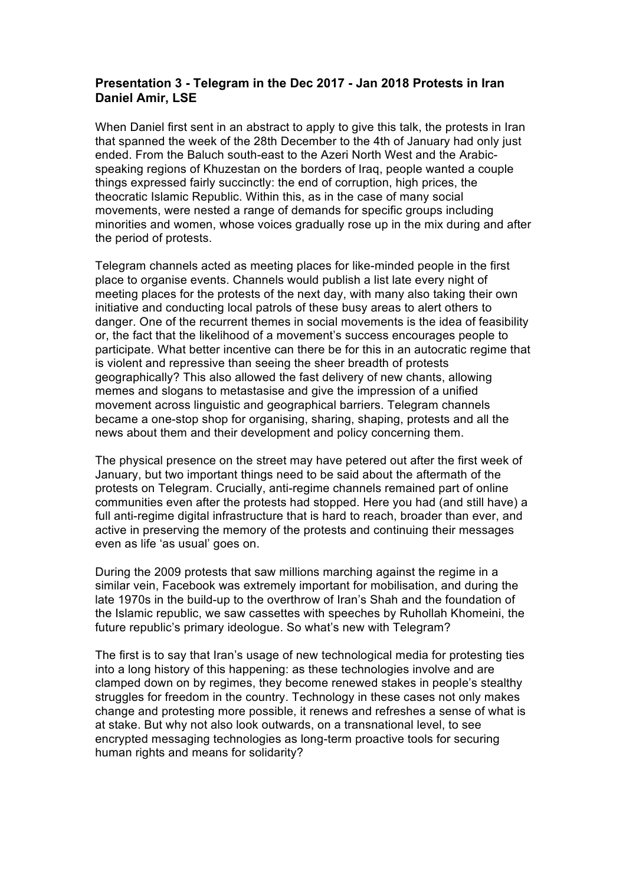## **Presentation 3 - Telegram in the Dec 2017 - Jan 2018 Protests in Iran Daniel Amir, LSE**

When Daniel first sent in an abstract to apply to give this talk, the protests in Iran that spanned the week of the 28th December to the 4th of January had only just ended. From the Baluch south-east to the Azeri North West and the Arabicspeaking regions of Khuzestan on the borders of Iraq, people wanted a couple things expressed fairly succinctly: the end of corruption, high prices, the theocratic Islamic Republic. Within this, as in the case of many social movements, were nested a range of demands for specific groups including minorities and women, whose voices gradually rose up in the mix during and after the period of protests.

Telegram channels acted as meeting places for like-minded people in the first place to organise events. Channels would publish a list late every night of meeting places for the protests of the next day, with many also taking their own initiative and conducting local patrols of these busy areas to alert others to danger. One of the recurrent themes in social movements is the idea of feasibility or, the fact that the likelihood of a movement's success encourages people to participate. What better incentive can there be for this in an autocratic regime that is violent and repressive than seeing the sheer breadth of protests geographically? This also allowed the fast delivery of new chants, allowing memes and slogans to metastasise and give the impression of a unified movement across linguistic and geographical barriers. Telegram channels became a one-stop shop for organising, sharing, shaping, protests and all the news about them and their development and policy concerning them.

The physical presence on the street may have petered out after the first week of January, but two important things need to be said about the aftermath of the protests on Telegram. Crucially, anti-regime channels remained part of online communities even after the protests had stopped. Here you had (and still have) a full anti-regime digital infrastructure that is hard to reach, broader than ever, and active in preserving the memory of the protests and continuing their messages even as life 'as usual' goes on.

During the 2009 protests that saw millions marching against the regime in a similar vein, Facebook was extremely important for mobilisation, and during the late 1970s in the build-up to the overthrow of Iran's Shah and the foundation of the Islamic republic, we saw cassettes with speeches by Ruhollah Khomeini, the future republic's primary ideologue. So what's new with Telegram?

The first is to say that Iran's usage of new technological media for protesting ties into a long history of this happening: as these technologies involve and are clamped down on by regimes, they become renewed stakes in people's stealthy struggles for freedom in the country. Technology in these cases not only makes change and protesting more possible, it renews and refreshes a sense of what is at stake. But why not also look outwards, on a transnational level, to see encrypted messaging technologies as long-term proactive tools for securing human rights and means for solidarity?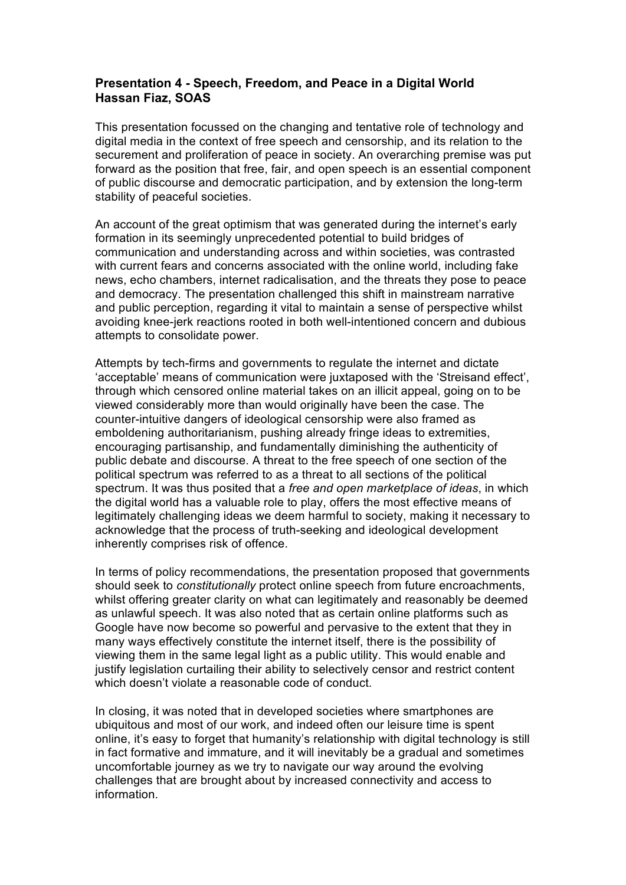## **Presentation 4 - Speech, Freedom, and Peace in a Digital World Hassan Fiaz, SOAS**

This presentation focussed on the changing and tentative role of technology and digital media in the context of free speech and censorship, and its relation to the securement and proliferation of peace in society. An overarching premise was put forward as the position that free, fair, and open speech is an essential component of public discourse and democratic participation, and by extension the long-term stability of peaceful societies.

An account of the great optimism that was generated during the internet's early formation in its seemingly unprecedented potential to build bridges of communication and understanding across and within societies, was contrasted with current fears and concerns associated with the online world, including fake news, echo chambers, internet radicalisation, and the threats they pose to peace and democracy. The presentation challenged this shift in mainstream narrative and public perception, regarding it vital to maintain a sense of perspective whilst avoiding knee-jerk reactions rooted in both well-intentioned concern and dubious attempts to consolidate power.

Attempts by tech-firms and governments to regulate the internet and dictate 'acceptable' means of communication were juxtaposed with the 'Streisand effect', through which censored online material takes on an illicit appeal, going on to be viewed considerably more than would originally have been the case. The counter-intuitive dangers of ideological censorship were also framed as emboldening authoritarianism, pushing already fringe ideas to extremities, encouraging partisanship, and fundamentally diminishing the authenticity of public debate and discourse. A threat to the free speech of one section of the political spectrum was referred to as a threat to all sections of the political spectrum. It was thus posited that a *free and open marketplace of ideas*, in which the digital world has a valuable role to play, offers the most effective means of legitimately challenging ideas we deem harmful to society, making it necessary to acknowledge that the process of truth-seeking and ideological development inherently comprises risk of offence.

In terms of policy recommendations, the presentation proposed that governments should seek to *constitutionally* protect online speech from future encroachments, whilst offering greater clarity on what can legitimately and reasonably be deemed as unlawful speech. It was also noted that as certain online platforms such as Google have now become so powerful and pervasive to the extent that they in many ways effectively constitute the internet itself, there is the possibility of viewing them in the same legal light as a public utility. This would enable and justify legislation curtailing their ability to selectively censor and restrict content which doesn't violate a reasonable code of conduct.

In closing, it was noted that in developed societies where smartphones are ubiquitous and most of our work, and indeed often our leisure time is spent online, it's easy to forget that humanity's relationship with digital technology is still in fact formative and immature, and it will inevitably be a gradual and sometimes uncomfortable journey as we try to navigate our way around the evolving challenges that are brought about by increased connectivity and access to information.